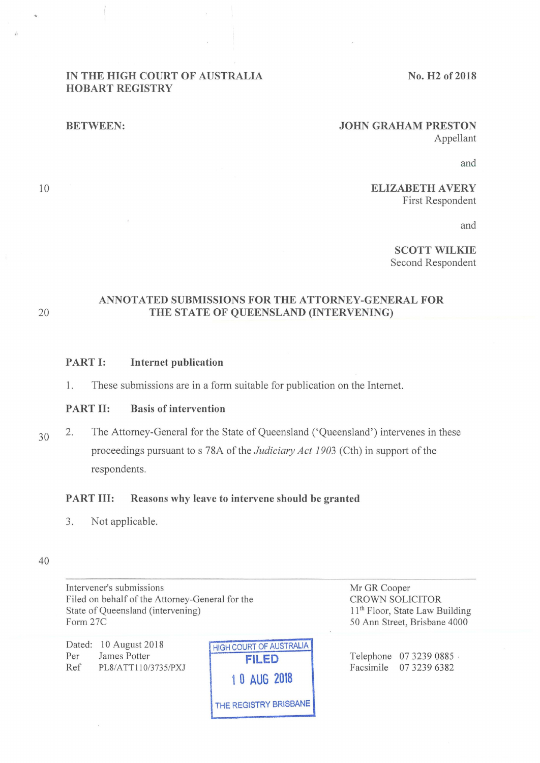#### **IN THE HIGH COURT OF AUSTRALIA HOBART REGISTRY**

**No. H2 of2018** 

#### **BETWEEN:**

#### **JOHN GRAHAM PRESTON**  Appellant

and

#### **ELIZABETH A VERY**  First Respondent

and

**SCOTT WILKIE**  Second Respondent

10

## **ANNOTATED SUBMISSIONS FOR THE ATTORNEY-GENERAL FOR**  20 **THE STATE OF QUEENSLAND (INTERVENING)**

## **PART 1: Internet publication**

1. These submissions are in a form suitable for publication on the Internet.

## **PART 11: Basis of intervention**

30 2. The Attorney-General for the State of Queensland ('Queensland') intervenes in these proceedings pursuant to s 78A of the *Judiciary Act 1903* (Cth) in support of the respondents.

#### **PART Ill: Reasons why leave to intervene should be granted**

3. Not applicable.

#### 40

Intervener's submissions Filed on behalf of the Attorney-General for the State of Queensland (intervening) Form 27C

Dated: 10 August 2018 Per James Potter Ref PL8/ATT110/3735/PXJ



Mr GR Cooper CROWN SOLICITOR 11<sup>th</sup> Floor, State Law Building 50 Ann Street, Brisbane 4000

Telephone 07 3239 0885 · Facsimile 07 3239 6382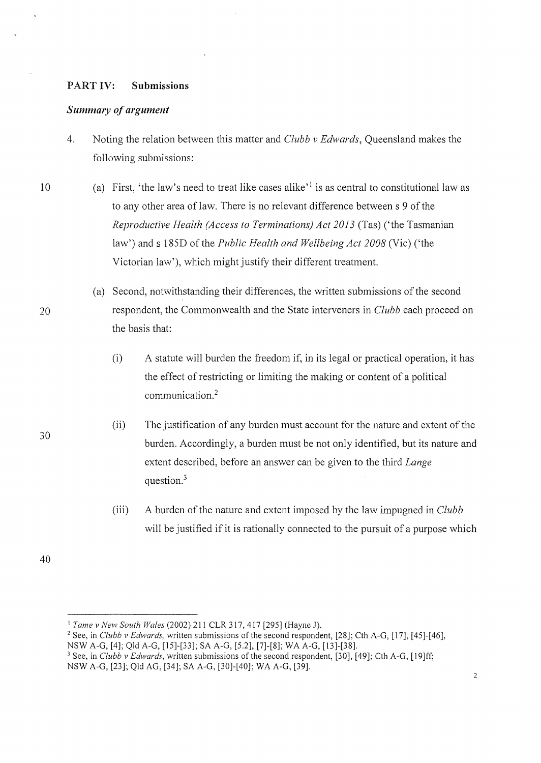## PART IV: **Submissions**

## *Summary of argument*

- 4. Noting the relation between this matter and *Clubb v Edwards,* Queensland makes the following submissions:
- 10 (a) First, 'the law's need to treat like cases alike' 1 is as central to constitutional law as to any other area of law. There is no relevant difference between s 9 of the *Reproductive Health (Access to Terminations) Act 2013* (Tas) ('the Tasmanian law') and s 185D of the *Public Health and Wellbeing Act 2008* (Vie) ('the Victorian law'), which might justify their different treatment.
	- (a) Second, notwithstanding their differences, the written submissions of the second respondent, the Commonwealth and the State interveners in *Clubb* each proceed on the basis that:
		- (i) A statute will burden the freedom if, in its legal or practical operation, it has the effect of restricting or limiting the making or content of a political communication.<sup>2</sup>
		- (ii) The justification of any burden must account for the nature and extent of the burden. Accordingly, a burden must be not only identified, but its nature and extent described, before an answer can be given to the third *Lange*  question.<sup>3</sup>
		- (iii) A burden of the nature and extent imposed by the law impugned in *Clubb*  will be justified if it is rationally connected to the pursuit of a purpose which

40

- <sup>1</sup> Tame v New South Wales (2002) 211 CLR 317, 417 [295] (Hayne J).<br><sup>2</sup> See, in *Clubb v Edwards, written submissions of the second respondent, [28]; Cth A-G, [17], [45]-[46],*
- NSW A-G, [4]; Qld A-G, [15]-[33]; SA A-G, [5.2], [7]-[8]; WA A-G, [13]-[38]. 3 See, in *Clubb v Edwards,* written submissions of the second respondent, [30], [49]; Cth A-G, [19]ff;
- NSW A-G, [23]; Qld AG, [34]; SA A-G, [30]-[40]; WA A-G, [39].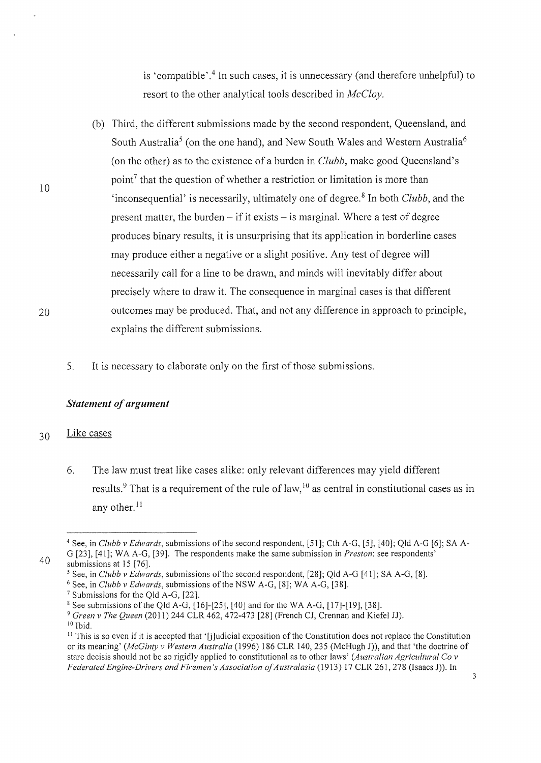is 'compatible' . 4 In such cases, it is unnecessary (and therefore unhelpful) to resort to the other analytical tools described in *McCloy.* 

- (b) Third, the different submissions made by the second respondent, Queensland, and South Australia<sup>5</sup> (on the one hand), and New South Wales and Western Australia<sup>6</sup> (on the other) as to the existence of a burden in *Clubb,* make good Queensland's point<sup>7</sup> that the question of whether a restriction or limitation is more than 'inconsequential' is necessarily, ultimately one of degree. 8 In both *Clubb,* and the present matter, the burden  $-$  if it exists  $-$  is marginal. Where a test of degree produces binary results, it is unsurprising that its application in borderline cases may produce either a negative or a slight positive. Any test of degree will necessarily call for a line to be drawn, and minds will inevitably differ about precisely where to draw it. The consequence in marginal cases is that different outcomes may be produced. That, and not any difference in approach to principle, explains the different submissions.
- 5. It is necessary to elaborate only on the first of those submissions.

## *Statement of argument*

#### 30 Like cases

6. The law must treat like cases alike: only relevant differences may yield different results.<sup>9</sup> That is a requirement of the rule of law,  $10^{10}$  as central in constitutional cases as in any other.<sup>11</sup>

10

<sup>&</sup>lt;sup>4</sup> See, in *Clubb v Edwards*, submissions of the second respondent, [51]; Cth A-G, [5], [40]; Qld A-G [6]; SA A-G [23], [41]; WA A-G, [39]. The respondents make the same submission in *Preston:* see respondents'

<sup>40</sup> 

submissions at 15 [76].<br><sup>5</sup> See, in *Clubb v Edwards*, submissions of the second respondent, [28]; Qld A-G [41]; SA A-G, [8].

<sup>&</sup>lt;sup>6</sup> See, in *Clubb v Edwards*, submissions of the NSW A-G, [8]; WA A-G, [38].<br><sup>7</sup> Submissions for the Qld A-G, [22].<br><sup>8</sup> See submissions of the Qld A-G, [16]-[25], [40] and for the WA A-G, [17]-[19], [38].<br><sup>9</sup> Green v The

<sup>10</sup> Ibid.

 $<sup>11</sup>$  This is so even if it is accepted that '[j]udicial exposition of the Constitution does not replace the Constitution</sup> or its meaning' *(McGinty v Western Australia* (1996) 186 CLR 140, 235 (McHugh J)), and that 'the doctrine of stare decisis should not be so rigidly applied to constitutional as to other laws' *(Australian Agricultural Co v Federated Engine-Drivers and Firemen's Association of Australasia* (1913) 17 CLR 261, 278 (Isaacs J)). In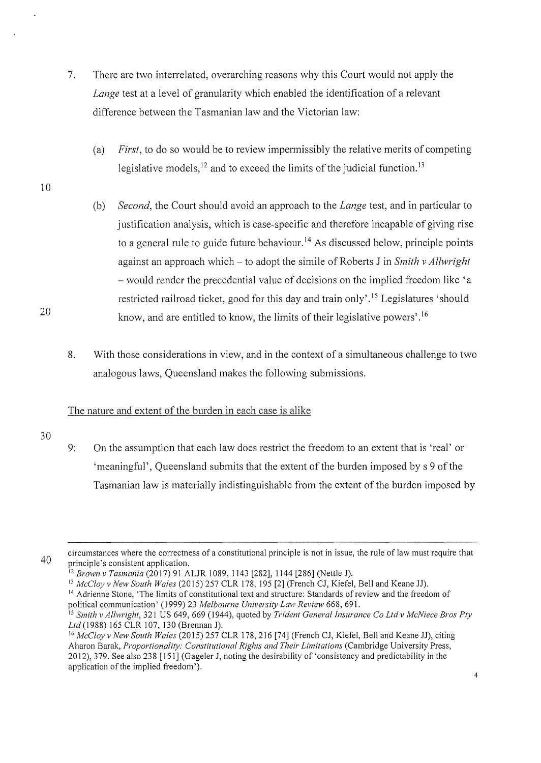- 7. There are two interrelated, overarching reasons why this Court would not apply the *Lange* test at a level of granularity which enabled the identification of a relevant difference between the Tasmanian law and the Victorian law:
	- (a) *First,* to do so would be to review impermissibly the relative merits of competing legislative models,  $12$  and to exceed the limits of the judicial function.  $13$
- 10
- (b) *Second,* the Court should avoid an approach to the *Lange* test, and in particular to justification analysis, which is case-specific and therefore incapable of giving rise to a general rule to guide future behaviour.<sup>14</sup> As discussed below, principle points against an approach which – to adopt the simile of Roberts J in *Smith v Allwright* - would render the precedential value of decisions on the implied freedom like 'a restricted railroad ticket, good for this day and train only'.<sup>15</sup> Legislatures 'should know, and are entitled to know, the limits of their legislative powers' . 16
- 8. With those considerations in view, and in the context of a simultaneous challenge to two analogous laws, Queensland makes the following submissions.

# The nature and extent of the burden in each case is alike

30

20

9: On the assumption that each law does restrict the freedom to an extent that is 'real' or 'meaningful', Queensland submits that the extent of the burden imposed by s 9 of the Tasmanian law is materially indistinguishable from the extent of the burden imposed by

<sup>40</sup> 

circumstances where the correctness of a constitutional principle is not in issue, the rule of law must require that principle's consistent application.

<sup>12</sup> *Brown v Tasmania* (20 17) 91 ALJR 1089, 1143 [282], 1144 [286] (Nettle J).

<sup>&</sup>lt;sup>13</sup> *McCloy v New South Wales* (2015) 257 CLR 178, 195 [2] (French CJ, Kiefel, Bell and Keane JJ).

<sup>&</sup>lt;sup>14</sup> Adrienne Stone, 'The limits of constitutional text and structure: Standards of review and the freedom of political communication' ( 1999) 23 *Melbourne University Lmv Review* 668, 691.

<sup>&</sup>lt;sup>15</sup> Smith v Allwright, 321 US 649, 669 (1944), quoted by *Trident General Insurance Co Ltd v McNiece Bros Pty* Ltd (1988) 165 CLR 107, 130 (Brennan J).

<sup>&</sup>lt;sup>16</sup> McCloy v New South Wales (2015) 257 CLR 178, 216 [74] (French CJ, Kiefel, Bell and Keane JJ), citing Aharon Barak, *Proportionality: Constitutional Rights and Their Limitations* (Cambridge University Press, 2012), 379. See also 238 [151] (Gageler J, noting the desirability of 'consistency and predictability in the application of the implied freedom').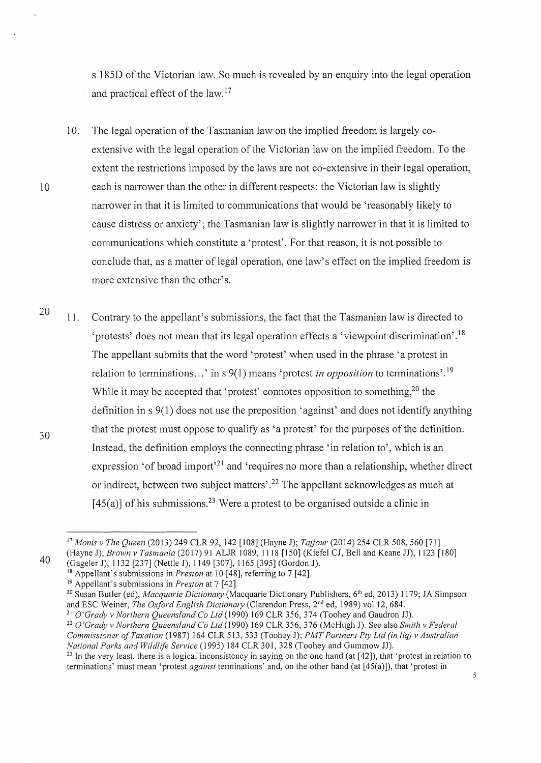s 185D of the Victorian law. So much is revealed by an enquiry into the legal operation and practical effect of the law. <sup>17</sup>

- 10. The legal operation of the Tasmanian law on the implied freedom is largely coextensive with the legal operation of the Victorian law on the implied freedom. To the extent the restrictions imposed by the laws are not co-extensive in their legal operation, 10 each is narrower than the other in different respects: the Victorian law is slightly narrower in that it is limited to communications that would be 'reasonably likely to cause distress or anxiety'; the Tasmanian law is slightly narrower in that it is limited to communications which constitute a 'protest'. For that reason, it is not possible to conclude that, as a matter of legal operation, one law's effect on the implied freedom is more extensive than the other's.
- 20 30 11. Contrary to the appellant's submissions, the fact that the Tasmanian law is directed to 'protests' does not mean that its legal operation effects a 'viewpoint discrimination'. <sup>18</sup> The appellant submits that the word 'protest' when used in the phrase 'a protest in relation to terminations ... ' in s 9(1) means 'protest *in opposition* to terminations'. 19 While it may be accepted that 'protest' connotes opposition to something,<sup>20</sup> the definition in s 9(1) does not use the preposition 'against' and does not identify anything that the protest must oppose to qualify as 'a protest' for the purposes of the definition. Instead, the definition employs the connecting phrase 'in relation to', which is an expression 'of broad import<sup>21</sup> and 'requires no more than a relationship, whether direct or indirect, between two subject matters'. 22 The appellant acknowledges as much at [45(a)] of his submissions.<sup>23</sup> Were a protest to be organised outside a clinic in

40

<sup>22</sup> O'Grady v Northern Queensland Co Ltd (1990) 169 CLR 356, 376 (McHugh J). See also *Smith v Federal Commissioner of Taxation* (1987) 164 CLR 513, 533 (Toohey J); *PMT Partners Pty Ltd (in liq) v Australian National Parks and Wildlife Service* (1995) 184 CLR 301, 328 (Toohey and Gummow JJ).

<sup>23</sup> In the very least, there is a logical inconsistency in saying on the one hand (at [42]), that 'protest in relation to terminations' must mean 'protest *against* tenninations' and, on the other hand (at [45(a)]), that 'protest in

<sup>17</sup>*Monis v The Queen* (2013) 249 CLR 92, 142 [108] (Hayne J); *Tajjour* (2014) 254 CLR 508, 560 [71] (Hayne J); *Brown v Tasmania* (2017) 91 ALJR 1089, 1118 [150] (Kiefel CJ, Bell and Keane JJ), 1123 [180] (Gageler J), 1132 [237] (Nettle J), 1149 [307], 1165 [395] (Gordon J).

<sup>&</sup>lt;sup>18</sup> Appellant's submissions in *Preston* at 10 [48], referring to 7 [42].<br><sup>19</sup> Appellant's submissions in *Preston* at 7 [42].

<sup>&</sup>lt;sup>20</sup> Susan Butler (ed), *Macquarie Dictionary* (Macquarie Dictionary Publishers, 6<sup>th</sup> ed, 2013) 1179; JA Simpson and ESC Weiner, *The Oxford English Dictionary* (Clarendon Press, 2<sup>nd</sup> ed, 1989) vol 12, 684.<br><sup>21</sup> O'Grady v Northern Queensland Co Ltd (1990) 169 CLR 356, 374 (Toohey and Gaudron JJ).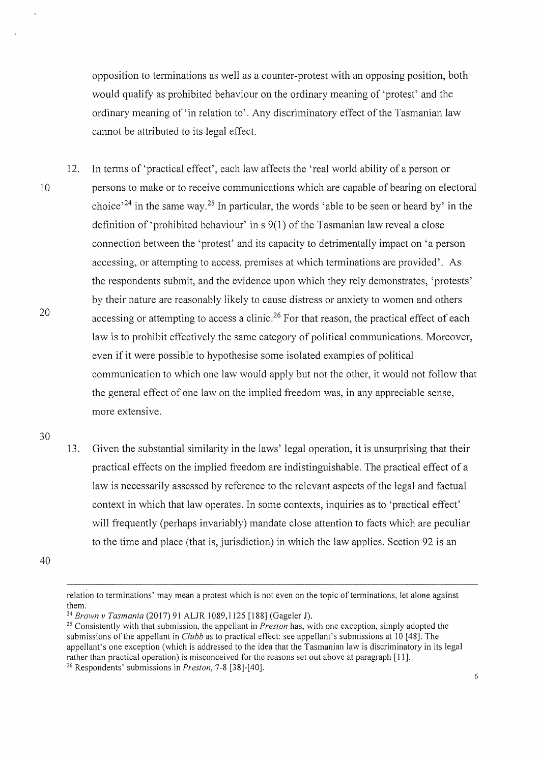opposition to terminations as well as a counter-protest with an opposing position, both would qualify as prohibited behaviour on the ordinary meaning of 'protest' and the ordinary meaning of 'in relation to'. Any discriminatory effect of the Tasmanian law cannot be attributed to its legal effect.

12. In terms of 'practical effect', each law affects the 'real world ability of a person or 10 persons to make or to receive communications which are capable of bearing on electoral choice<sup> $24$ </sup> in the same way.<sup>25</sup> In particular, the words 'able to be seen or heard by' in the definition of 'prohibited behaviour' ins 9(1) of the Tasmanian law reveal a close connection between the 'protest' and its capacity to detrimentally impact on 'a person accessing, or attempting to access, premises at which terminations are provided'. As the respondents submit, and the evidence upon which they rely demonstrates, 'protests' 20 by their nature are reasonably likely to cause distress or anxiety to women and others accessing or attempting to access a clinic.<sup>26</sup> For that reason, the practical effect of each law is to prohibit effectively the same category of political communications. Moreover, even if it were possible to hypothesise some isolated examples of political communication to which one law would apply but not the other, it would not follow that the general effect of one law on the implied freedom was, in any appreciable sense, more extensive.

30

13. Given the substantial similarity in the laws' legal operation, it is unsurprising that their practical effects on the implied freedom are indistinguishable. The practical effect of a law is necessarily assessed by reference to the relevant aspects of the legal and factual context in which that law operates. In some contexts, inquiries as to 'practical effect' will frequently (perhaps invariably) mandate close attention to facts which are peculiar to the time and place (that is, jurisdiction) in which the law applies. Section 92 is an

relation to tenninations' may mean a protest which is not even on the topic of terminations, let alone against them.<br><sup>24</sup> Brown v Tasmania (2017) 91 ALJR 1089,1125 [188] (Gageler J).

<sup>&</sup>lt;sup>25</sup> Consistently with that submission, the appellant in *Preston* has, with one exception, simply adopted the submissions ofthe appellant in *Clubb* as to practical effect: see appellant's submissions at 10 [48]. The appellant's one exception (which is addressed to the idea that the Tasmanian law is discriminatory in its legal rather than practical operation) is misconceived for the reasons set out above at paragraph [11]. 26 Respondents' submissions in *Preston,* 7-8 [38]-[40].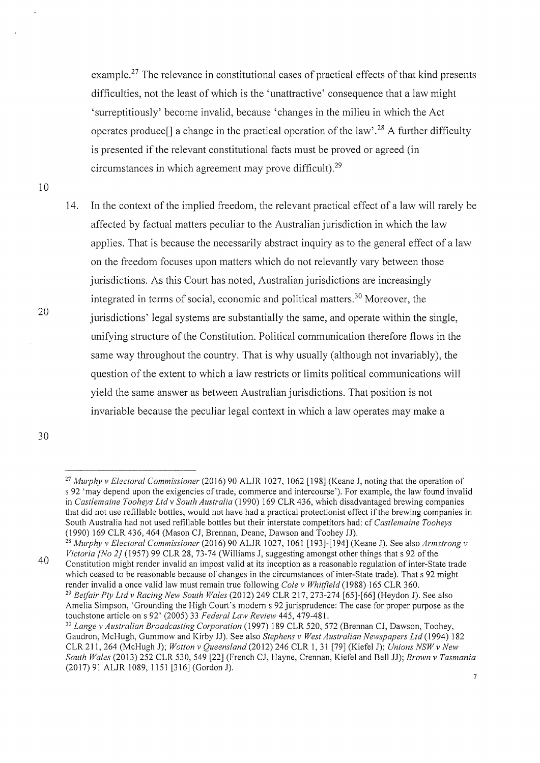example.<sup>27</sup> The relevance in constitutional cases of practical effects of that kind presents difficulties, not the least of which is the 'unattractive' consequence that a law might 'surreptitiously' become invalid, because 'changes in the milieu in which the Act operates produce<sup>[]</sup> a change in the practical operation of the law'.<sup>28</sup> A further difficulty is presented if the relevant constitutional facts must be proved or agreed (in circumstances in which agreement may prove difficult).<sup>29</sup>

10

14. In the context of the implied freedom, the relevant practical effect of a law will rarely be affected by factual matters peculiar to the Australian jurisdiction in which the law applies. That is because the necessarily abstract inquiry as to the general effect of a law on the freedom focuses upon matters which do not relevantly vary between those jurisdictions. As this Court has noted, Australian jurisdictions are increasingly integrated in terms of social, economic and political matters. 30 Moreover, the jurisdictions' legal systems are substantially the same, and operate within the single. unifying structure of the Constitution. Political communication therefore flows in the same way throughout the country. That is why usually (although not invariably), the question of the extent to which a law restricts or limits political communications will yield the same answer as between Australian jurisdictions. That position is not invariable because the peculiar legal context in which a law operates may make a

30

<sup>27</sup>*Mwphy v Electoral Commissioner* (2016) 90 ALJR 1027, 1062 [198] (Keane J, noting that the operation of s 92 'may depend upon the exigencies of trade, commerce and intercourse'). For example, the law found invalid in *Castlemaine Tooheys Ltd* v *South Australia* (1990) 169 CLR 436, which disadvantaged brewing companies that did not use refillable bottles, would not have had a practical protectionist effect if the brewing companies in South Australia had not used refillable bottles but their interstate competitors had: cf *Castlemaine Tooheys* 

<sup>40</sup>  <sup>28</sup> Murphy v Electoral Commissioner (2016) 90 ALJR 1027, 1061 [193]-[194] (Keane J). See also *Armstrong v Victoria [No 2}* (1957) 99 CLR 28, 73-74 (Williams J, suggesting amongst other things that s 92 of the Constitution might render invalid an impost valid at its inception as a reasonable regulation of inter-State trade which ceased to be reasonable because of changes in the circumstances of inter-State trade). That s 92 might render invalid a once valid law must remain true following *Cole v Whitfield* (1988) 165 CLR 360. <sup>29</sup> Betfair Pty Ltd v Racing New South Wales (2012) 249 CLR 217, 273-274 [65]-[66] (Heydon J). See also Amelia Simpson, 'Grounding the High Court's modern s 92 jurisprudence: The case for proper purpose as the touchstone article on s 92' (2005) 33 Federal Law Review 445, 479-481.

<sup>&</sup>lt;sup>30</sup> Lange v Australian Broadcasting Corporation (1997) 189 CLR 520, 572 (Brennan CJ, Dawson, Toohey, Gaudron, McHugh, Gummow and Kirby JJ). See also *Stephens v West Australian Newspapers Ltd* (1994) 182 CLR 211,264 (McHugh J); *Wotton v Queensland* (2012) 246 CLR 1, 31 [79] (Kiefel J); *Unions NSWv New South Wales* (2013) 252 CLR 530, 549 [22] (French CJ, Hayne, Crennan, Kiefel and Bell JJ); *Brown v Tasmania*  (2017) 91 ALJR 1089, 1151 [316] (Gordon J).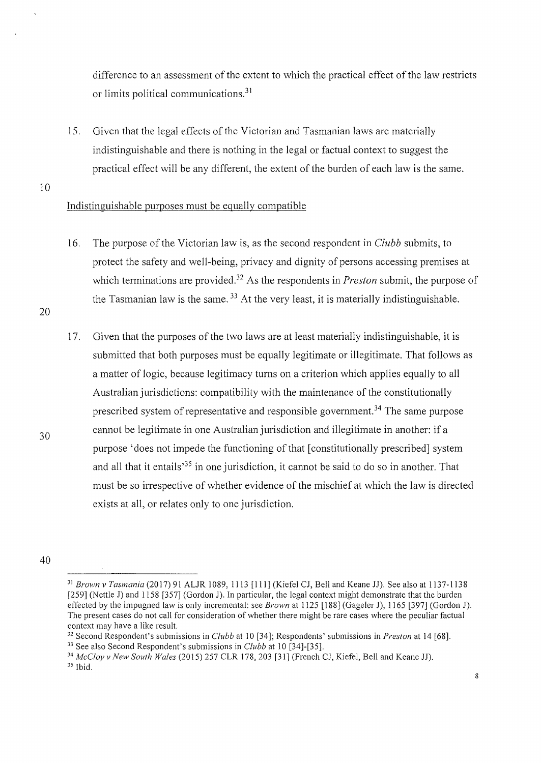difference to an assessment of the extent to which the practical effect of the law restricts or limits political communications.<sup>31</sup>

15. Given that the legal effects of the Victorian and Tasmanian laws are materially indistinguishable and there is nothing in the legal or factual context to suggest the practical effect will be any different, the extent of the burden of each law is the same.

10

# Indistinguishable purposes must be equally compatible

16. The purpose of the Victorian law is, as the second respondent in *Clubb* submits, to protect the safety and well-being, privacy and dignity of persons accessing premises at which terminations are provided.<sup>32</sup> As the respondents in *Preston* submit, the purpose of the Tasmanian law is the same.  $33$  At the very least, it is materially indistinguishable.

20

30

17. Given that the purposes of the two laws are at least materially indistinguishable, it is submitted that both purposes must be equally legitimate or illegitimate. That follows as a matter of logic, because legitimacy turns on a criterion which applies equally to all Australian jurisdictions: compatibility with the maintenance of the constitutionally prescribed system of representative and responsible govemment. 34 The same purpose cannot be legitimate in one Australian jurisdiction and illegitimate in another: if a purpose 'does not impede the functioning of that [constitutionally prescribed] system and all that it entails<sup> $35$ </sup> in one jurisdiction, it cannot be said to do so in another. That must be so irrespective of whether evidence of the mischief at which the law is directed exists at all, or relates only to one jurisdiction.

<sup>31</sup>*Brown v Tasmania* (2017) 91 ALJR 1089, 1113 [111] (Kiefel CJ, Bell and Keane JJ). See also at 1137-1138 [259] (Nettle J) and 1158 [357] (Gordon J). In particular, the legal context might demonstrate that the burden effected by the impugned law is only incremental: see *Brown* at 1125 [188] (Gageler J), 1165 [397] (Gordon J). The present cases do not call for consideration of whether there might be rare cases where the peculiar factual

context may have a like result.<br><sup>32</sup> Second Respondent's submissions in *Clubb* at 10 [34]; Respondents' submissions in *Preston* at 14 [68].<br><sup>33</sup> See also Second Respondent's submissions in *Clubb* at 10 [34]-[35].<br><sup>34</sup> M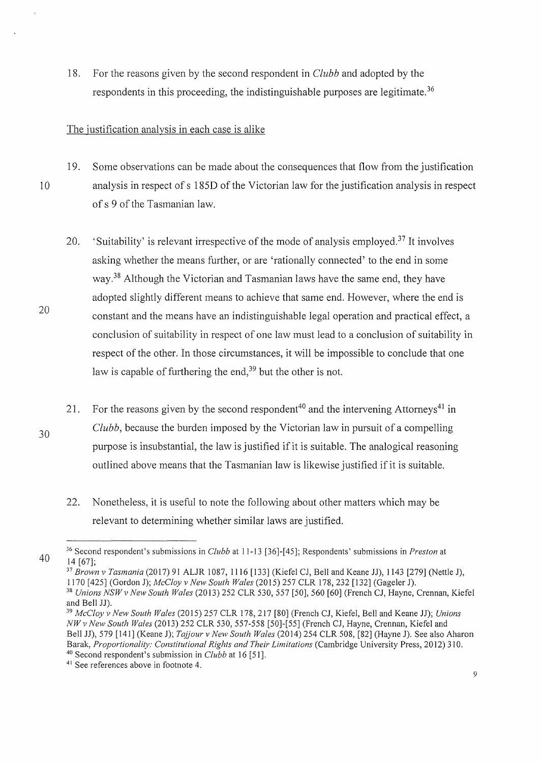18. For the reasons given by the second respondent in *Clubb* and adopted by the respondents in this proceeding, the indistinguishable purposes are legitimate.<sup>36</sup>

#### The justification analysis in each case is alike

20

19. Some observations can be made about the consequences that flow from the justification 10 analysis in respect of s 185D of the Victorian law for the justification analysis in respect of s 9 of the Tasmanian law.

- 20. 'Suitability' is relevant irrespective of the mode of analysis employed.<sup>37</sup> It involves asking whether the means further, or are 'rationally connected' to the end in some way. 38 Although the Victorian and Tasmanian laws have the same end, they have adopted slightly different means to achieve that same end. However, where the end is constant and the means have an indistinguishable legal operation and practical effect, a conclusion of suitability in respect of one law must lead to a conclusion of suitability in respect of the other. In those circumstances, it will be impossible to conclude that one law is capable of furthering the end,<sup>39</sup> but the other is not.
- 30 21. For the reasons given by the second respondent<sup>40</sup> and the intervening Attorneys<sup>41</sup> in *Clubb,* because the burden imposed by the Victorian law in pursuit of a compelling purpose is insubstantial, the law is justified if it is suitable. The analogical reasoning outlined above means that the Tasmanian law is likewise justified if it is suitable.
	- 22. Nonetheless, it is useful to note the following about other matters which may be relevant to determining whether similar laws are justified.

<sup>37</sup> Brown v Tasmania (2017) 91 ALJR 1087, 1116 [133] (Kiefel CJ, Bell and Keane JJ), 1143 [279] (Nettle J), 1170 [425] (Gordon J); *McCloy v New South Wales* (2015) 257 CLR 178, 232 [132] (Gageler J). <sup>38</sup> Unions NSW v New South Wales (2013) 252 CLR 530, 557 [50], 560 [60] (French CJ, Hayne, Crennan, Kiefel and Bell JJ).

<sup>40</sup>  36 Second respondent's submissions in *Clubb* at 11-13 [36]-[45]; Respondents' submissions in *Preston* at 14 [67];

and Bell JJ). 39 *McCloy v New South Wales* (2015) 257 CLR 178, 217 [80] (French CJ, Kiefel, Bell and Keane JJ); *Unions NW v New South Wales* (2013) 252 CLR 530, 557-558 [50]-[ 55] (French CJ, Hayne, Crennan, Kiefel and Bell JJ), 579 [141] (Keane J); *Tajjour v New South Wales* (20 14) 254 CLR 508, [82] (Hayne J). See also Aharon Barak, *Proportionality: Constitutional Rights and Their Limitations* (Cambridge University Press, 2012) 310.<br><sup>40</sup> Second respondent's submission in *Clubb* at 16 [51].

<sup>&</sup>lt;sup>41</sup> See references above in footnote 4.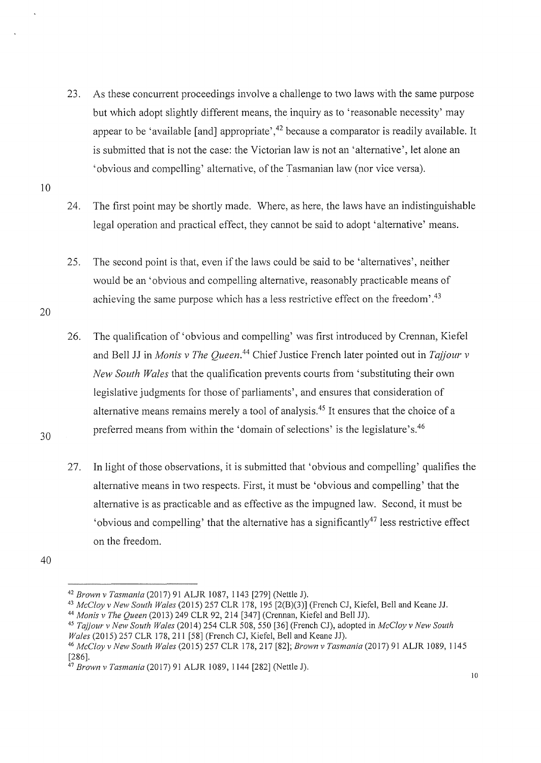- 23. As these concurrent proceedings involve a challenge to two laws with the same purpose but which adopt slightly different means, the inquiry as to 'reasonable necessity' may appear to be 'available [and] appropriate',  $42$  because a comparator is readily available. It is submitted that is not the case: the Victorian law is not an 'alternative', let alone an 'obvious and compelling' alternative, of the Tasmanian law (nor vice versa).
- 10

20

24. The first point may be shortly made. Where, as here, the laws have an indistinguishable legal operation and practical effect, they cannot be said to adopt 'alternative' means.

25. The second point is that, even if the laws could be said to be 'alternatives', neither would be an 'obvious and compelling alternative, reasonably practicable means of achieving the same purpose which has a less restrictive effect on the freedom'.<sup>43</sup>

- 26. The qualification of 'obvious and compelling' was first introduced by Crennan, Kiefel and Bell JJ in *Monis v The Queen*.<sup>44</sup> Chief Justice French later pointed out in *Tajjour v New South Wales* that the qualification prevents courts from 'substituting their own legislative judgments for those of parliaments', and ensures that consideration of alternative means remains merely a tool of analysis.45 It ensures that the choice of a preferred means from within the 'domain of selections' is the 1egislature's.<sup>46</sup>
- 27. In light of those observations, it is submitted that 'obvious and compelling' qualifies the alternative means in two respects. First, it must be 'obvious and compelling' that the alternative is as practicable and as effective as the impugned law. Second, it must be 'obvious and compelling' that the alternative has a significantly<sup>47</sup> less restrictive effect on the freedom.

40

<sup>&</sup>lt;sup>42</sup> Brown v Tasmania (2017) 91 ALJR 1087, 1143 [279] (Nettle J).<br><sup>43</sup> McCloy v New South Wales (2015) 257 CLR 178, 195 [2(B)(3)] (French CJ, Kiefel, Bell and Keane JJ.<br><sup>44</sup> Monis v The Queen (2013) 249 CLR 92, 214 [347]

*Wales* (2015) 257 CLR 178,211 [58] (French CJ, Kiefel, Bell and Keane JJ). 46 *McCloy v New South Wales* (20 15) 257 CLR 178, 217 [82]; *Brown v Tasmania* (20 17) 91 ALJR 1089, 1145

<sup>[286].</sup> 

<sup>47</sup>*Brown v Tasmania* (2017) 91 ALJR 1089, 1144 [282] (Nettle J).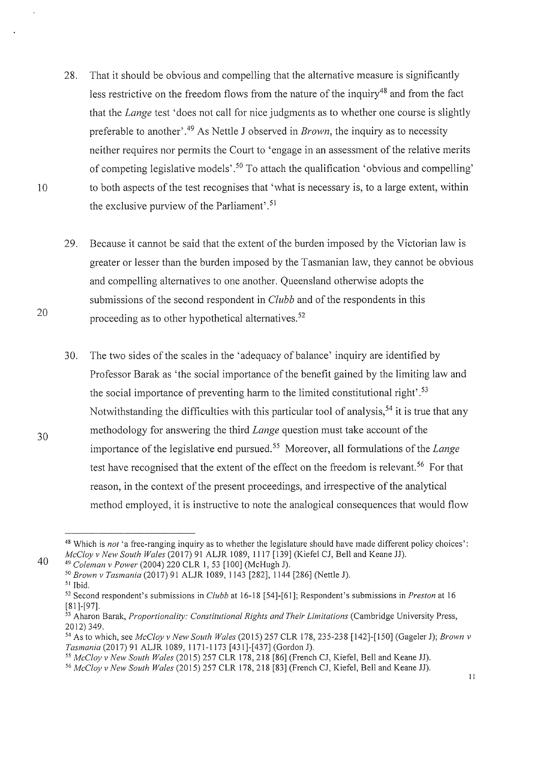- 28. That it should be obvious and compelling that the alternative measure is significantly less restrictive on the freedom flows from the nature of the inquiry<sup>48</sup> and from the fact that the *Lange* test 'does not call for nice judgments as to whether one course is slightly preferable to another' . 49 As Nettle J observed in *Brown,* the inquiry as to necessity neither requires nor permits the Court to 'engage in an assessment of the relative merits of competing legislative models'.<sup>50</sup> To attach the qualification 'obvious and compelling' 10 to both aspects of the test recognises that 'what is necessary is, to a large extent, within the exclusive purview of the Parliament'. <sup>51</sup>
	- 29. Because it cannot be said that the extent of the burden imposed by the Victorian law is greater or lesser than the burden imposed by the Tasmanian law, they cannot be obvious and compelling alternatives to one another. Queensland otherwise adopts the submissions of the second respondent in *Clubb* and of the respondents in this proceeding as to other hypothetical alternatives.<sup>52</sup>
	- 30. The two sides of the scales in the 'adequacy of balance' inquiry are identified by Professor Barak as 'the social importance of the benefit gained by the limiting law and the social importance of preventing harm to the limited constitutional right'.<sup>53</sup> Notwithstanding the difficulties with this particular tool of analysis,<sup>54</sup> it is true that any methodology for answering the third *Lange* question must take account of the importance of the legislative end pursued. 55 Moreover, all formulations of the *Lange*  test have recognised that the extent of the effect on the freedom is relevant.<sup>56</sup> For that reason, in the context of the present proceedings, and irrespective of the analytical method employed, it is instructive to note the analogical consequences that would flow

20

30

40

 $11\,$ 

<sup>&</sup>lt;sup>48</sup> Which is *not* 'a free-ranging inquiry as to whether the legislature should have made different policy choices':<br>McCloy v New South Wales (2017) 91 ALJR 1089, 1117 [139] (Kiefel CJ, Bell and Keane JJ).

<sup>&</sup>lt;sup>49</sup> Coleman v Power (2004) 220 CLR 1, 53 [100] (McHugh J).<br><sup>50</sup> Brown v Tasmania (2017) 91 ALJR 1089, 1143 [282], 1144 [286] (Nettle J).<br><sup>51</sup> Ibid.<br><sup>52</sup> Second respondent's submissions in *Clubb* at 16-18 [54]-[61]; Resp [81]-[97].<br><sup>53</sup> Aharon Barak, *Proportionality: Constitutional Rights and Their Limitations* (Cambridge University Press,

<sup>2012) 349.&</sup>lt;br><sup>54</sup> As to which, see *McCloy v New South Wales* (2015) 257 CLR 178, 235-238 [142]-[150] (Gageler J); *Brown v*<br>Tasmania (2017) 91 ALJR 1089, 1171-1173 [431]-[437] (Gordon J).

<sup>&</sup>lt;sup>55</sup> McCloy v New South Wales (2015) 257 CLR 178, 218 [86] (French CJ, Kiefel, Bell and Keane JJ).<br><sup>56</sup> McCloy v New South Wales (2015) 257 CLR 178, 218 [83] (French CJ, Kiefel, Bell and Keane JJ).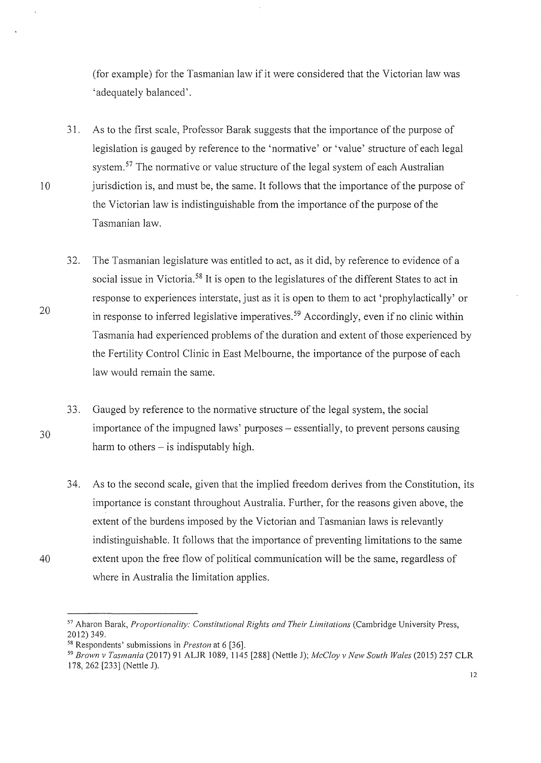(for example) for the Tasmanian law if it were considered that the Victorian law was 'adequately balanced'.

- 31. As to the first scale, Professor Barak suggests that the importance of the purpose of legislation is gauged by reference to the 'normative' or 'value' structure of each legal system.<sup>57</sup> The normative or value structure of the legal system of each Australian 10 jurisdiction is, and must be, the same. It follows that the importance of the purpose of the Victorian law is indistinguishable from the importance of the purpose of the Tasmanian law.
- 20 32. The Tasmanian legislature was entitled to act, as it did, by reference to evidence of a social issue in Victoria.<sup>58</sup> It is open to the legislatures of the different States to act in response to experiences interstate, just as it is open to them to act 'prophylactically' or in response to inferred legislative imperatives. 5 9 Accordingly, even if no clinic within Tasmania had experienced problems of the duration and extent of those experienced by the Fertility Control Clinic in East Melbourne, the importance of the purpose of each law would remain the same.
	- 33. Gauged by reference to the normative structure of the legal system, the social importance of the impugned laws' purposes – essentially, to prevent persons causing harm to others  $-$  is indisputably high.
- 34. As to the second scale, given that the implied freedom derives from the Constitution, its importance is constant throughout Australia. Further, for the reasons given above, the extent of the burdens imposed by the Victorian and Tasmanian laws is relevantly indistinguishable. It follows that the importance of preventing limitations to the same 40 extent upon the free flow of political communication will be the same, regardless of where in Australia the limitation applies.

<sup>&</sup>lt;sup>57</sup> Aharon Barak, *Proportionality: Constitutional Rights and Their Limitations* (Cambridge University Press, 2012) 349.<br><sup>58</sup> Respondents' submissions in *Preston* at 6 [36].<br><sup>59</sup> *Brown v Tasmania* (2017) 91 ALJR 1089, 1145 [288] (Nettle J); *McCloy v New South Wales* (2015) 257 CLR

<sup>178, 262 [233] (</sup>Nettle J).